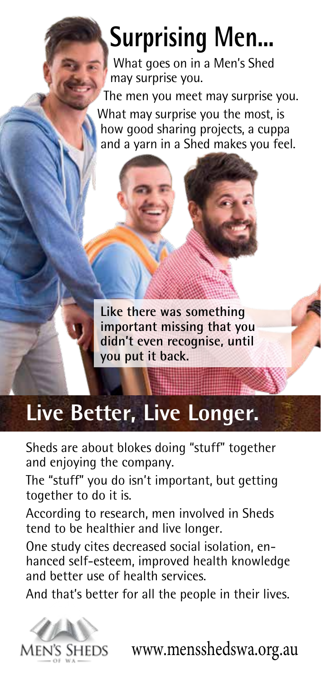## **Surprising Men...**

What goes on in a Men's Shed may surprise you.

The men you meet may surprise you.

What may surprise you the most, is how good sharing projects, a cuppa and a yarn in a Shed makes you feel.



## **Live Better, Live Longer.**

Sheds are about blokes doing "stuff" together and enjoying the company.

The "stuff" you do isn't important, but getting together to do it is.

According to research, men involved in Sheds tend to be healthier and live longer.

One study cites decreased social isolation, enhanced self-esteem, improved health knowledge and better use of health services.

And that's better for all the people in their lives.



www.mensshedswa.org.au